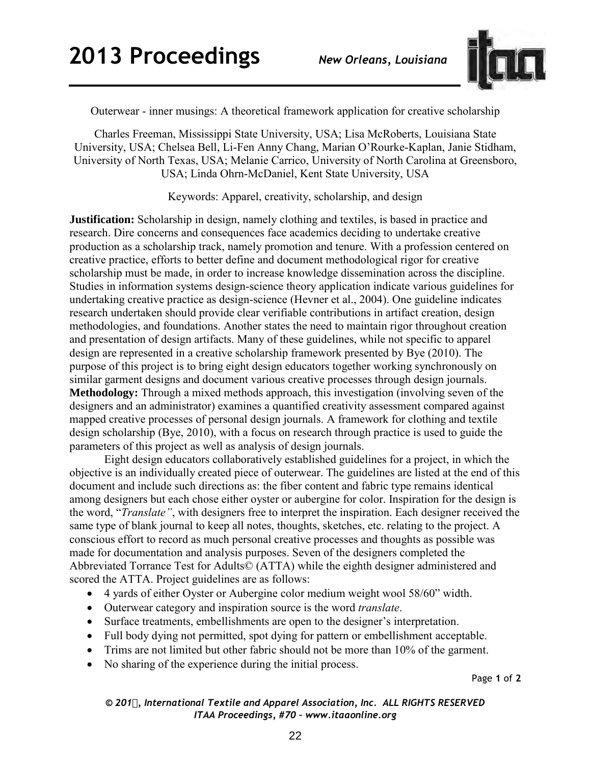

Outerwear - inner musings: A theoretical framework application for creative scholarship

Charles Freeman, Mississippi State University, USA; Lisa McRoberts, Louisiana State University, USA; Chelsea Bell, Li-Fen Anny Chang, Marian O'Rourke-Kaplan, Janie Stidham, University of North Texas, USA; Melanie Carrico, University of North Carolina at Greensboro, USA; Linda Ohrn-McDaniel, Kent State University, USA

Keywords: Apparel, creativity, scholarship, and design

**Justification:** Scholarship in design, namely clothing and textiles, is based in practice and research. Dire concerns and consequences face academics deciding to undertake creative production as a scholarship track, namely promotion and tenure. With a profession centered on creative practice, efforts to better define and document methodological rigor for creative scholarship must be made, in order to increase knowledge dissemination across the discipline. Studies in information systems design-science theory application indicate various guidelines for undertaking creative practice as design-science (Hevner et al., 2004). One guideline indicates research undertaken should provide clear verifiable contributions in artifact creation, design methodologies, and foundations. Another states the need to maintain rigor throughout creation and presentation of design artifacts. Many of these guidelines, while not specific to apparel design are represented in a creative scholarship framework presented by Bye (2010). The purpose of this project is to bring eight design educators together working synchronously on similar garment designs and document various creative processes through design journals. **Methodology:** Through a mixed methods approach, this investigation (involving seven of the designers and an administrator) examines a quantified creativity assessment compared against mapped creative processes of personal design journals. A framework for clothing and textile design scholarship (Bye, 2010), with a focus on research through practice is used to guide the parameters of this project as well as analysis of design journals.

Eight design educators collaboratively established guidelines for a project, in which the objective is an individually created piece of outerwear. The guidelines are listed at the end of this document and include such directions as: the fiber content and fabric type remains identical among designers but each chose either oyster or aubergine for color. Inspiration for the design is the word, "*Translate"*, with designers free to interpret the inspiration. Each designer received the same type of blank journal to keep all notes, thoughts, sketches, etc. relating to the project. A conscious effort to record as much personal creative processes and thoughts as possible was made for documentation and analysis purposes. Seven of the designers completed the Abbreviated Torrance Test for Adults© (ATTA) while the eighth designer administered and scored the ATTA. Project guidelines are as follows:

- 4 yards of either Oyster or Aubergine color medium weight wool 58/60" width.
- Outerwear category and inspiration source is the word *translate*.
- Surface treatments, embellishments are open to the designer's interpretation.
- Full body dying not permitted, spot dying for pattern or embellishment acceptable.
- Trims are not limited but other fabric should not be more than 10% of the garment.
- No sharing of the experience during the initial process.

Page **1** of **2** 

*© 201, International Textile and Apparel Association, Inc. ALL RIGHTS RESERVED ITAA Proceedings, #70 – www.itaaonline.org*